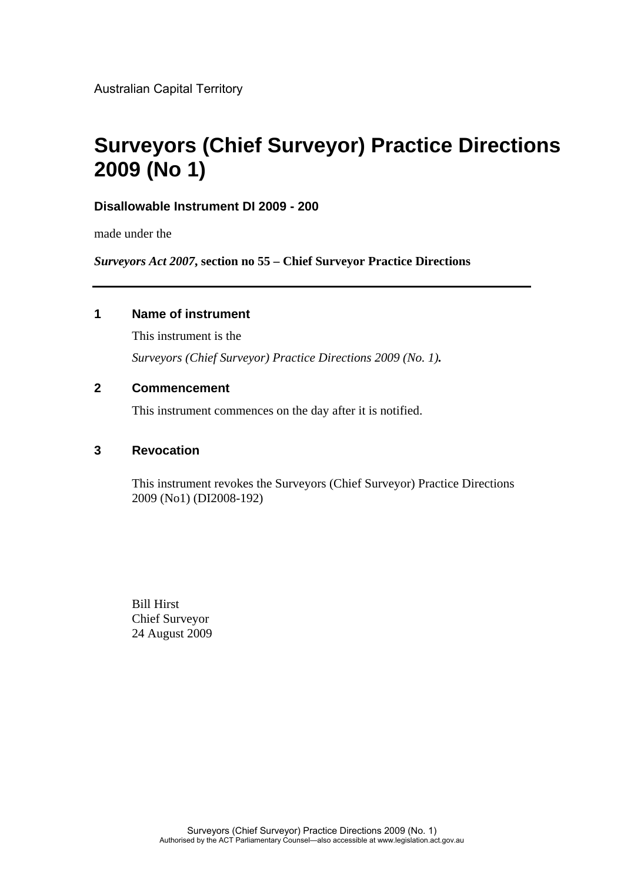Australian Capital Territory

# **Surveyors (Chief Surveyor) Practice Directions 2009 (No 1)**

### **Disallowable Instrument DI 2009 - 200**

made under the

*Surveyors Act 2007***, section no 55 – Chief Surveyor Practice Directions**

### **1 Name of instrument**

This instrument is the *Surveyors (Chief Surveyor) Practice Directions 2009 (No. 1).*

### **2 Commencement**

This instrument commences on the day after it is notified.

### **3 Revocation**

This instrument revokes the Surveyors (Chief Surveyor) Practice Directions 2009 (No1) (DI2008-192)

Bill Hirst Chief Surveyor 24 August 2009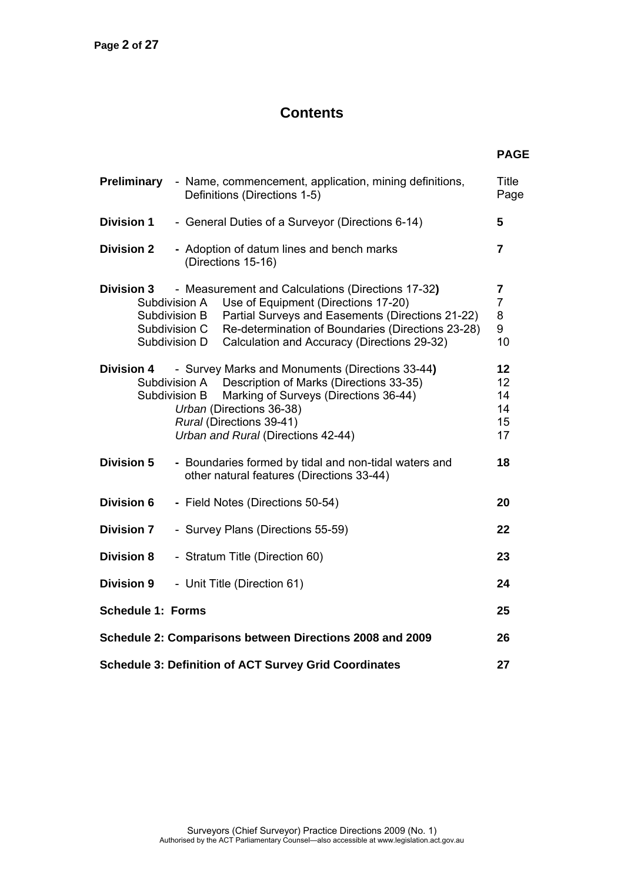# **Contents**

| Preliminary                                                    | - Name, commencement, application, mining definitions,<br>Definitions (Directions 1-5)                                                                                                                                                                                                                               | <b>Title</b><br>Page                |
|----------------------------------------------------------------|----------------------------------------------------------------------------------------------------------------------------------------------------------------------------------------------------------------------------------------------------------------------------------------------------------------------|-------------------------------------|
| <b>Division 1</b>                                              | - General Duties of a Surveyor (Directions 6-14)                                                                                                                                                                                                                                                                     | 5                                   |
| <b>Division 2</b>                                              | - Adoption of datum lines and bench marks<br>(Directions 15-16)                                                                                                                                                                                                                                                      | $\overline{7}$                      |
| <b>Division 3</b>                                              | - Measurement and Calculations (Directions 17-32)<br>Use of Equipment (Directions 17-20)<br>Subdivision A<br>Partial Surveys and Easements (Directions 21-22)<br>Subdivision B<br>Re-determination of Boundaries (Directions 23-28)<br>Subdivision C<br>Calculation and Accuracy (Directions 29-32)<br>Subdivision D | 7<br>$\overline{7}$<br>8<br>9<br>10 |
| <b>Division 4</b>                                              | - Survey Marks and Monuments (Directions 33-44)<br>Subdivision A Description of Marks (Directions 33-35)<br>Subdivision B<br>Marking of Surveys (Directions 36-44)<br>Urban (Directions 36-38)<br>Rural (Directions 39-41)<br>Urban and Rural (Directions 42-44)                                                     | 12<br>12<br>14<br>14<br>15<br>17    |
| <b>Division 5</b>                                              | - Boundaries formed by tidal and non-tidal waters and<br>other natural features (Directions 33-44)                                                                                                                                                                                                                   | 18                                  |
| <b>Division 6</b>                                              | - Field Notes (Directions 50-54)                                                                                                                                                                                                                                                                                     | 20                                  |
| <b>Division 7</b>                                              | - Survey Plans (Directions 55-59)                                                                                                                                                                                                                                                                                    | 22                                  |
| <b>Division 8</b>                                              | - Stratum Title (Direction 60)                                                                                                                                                                                                                                                                                       | 23                                  |
| <b>Division 9</b>                                              | - Unit Title (Direction 61)                                                                                                                                                                                                                                                                                          | 24                                  |
| <b>Schedule 1: Forms</b>                                       |                                                                                                                                                                                                                                                                                                                      | 25                                  |
| Schedule 2: Comparisons between Directions 2008 and 2009<br>26 |                                                                                                                                                                                                                                                                                                                      |                                     |
| <b>Schedule 3: Definition of ACT Survey Grid Coordinates</b>   |                                                                                                                                                                                                                                                                                                                      |                                     |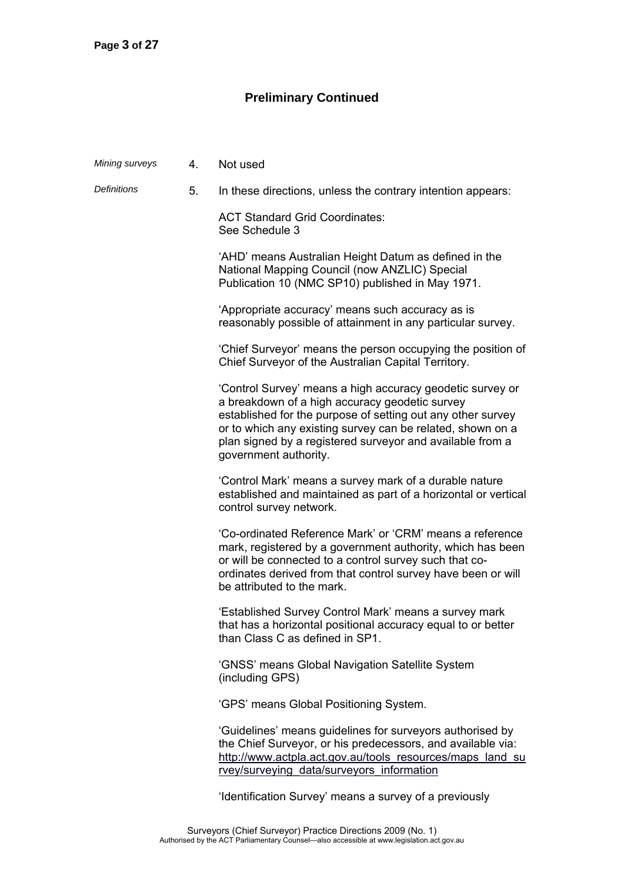## **Preliminary Continued**

| Mining surveys     | 4. | Not used                                                                                                                                                                                                                                                                                                                       |
|--------------------|----|--------------------------------------------------------------------------------------------------------------------------------------------------------------------------------------------------------------------------------------------------------------------------------------------------------------------------------|
| <b>Definitions</b> | 5. | In these directions, unless the contrary intention appears:                                                                                                                                                                                                                                                                    |
|                    |    | <b>ACT Standard Grid Coordinates:</b><br>See Schedule 3                                                                                                                                                                                                                                                                        |
|                    |    | 'AHD' means Australian Height Datum as defined in the<br>National Mapping Council (now ANZLIC) Special<br>Publication 10 (NMC SP10) published in May 1971.                                                                                                                                                                     |
|                    |    | 'Appropriate accuracy' means such accuracy as is<br>reasonably possible of attainment in any particular survey.                                                                                                                                                                                                                |
|                    |    | 'Chief Surveyor' means the person occupying the position of<br>Chief Surveyor of the Australian Capital Territory.                                                                                                                                                                                                             |
|                    |    | 'Control Survey' means a high accuracy geodetic survey or<br>a breakdown of a high accuracy geodetic survey<br>established for the purpose of setting out any other survey<br>or to which any existing survey can be related, shown on a<br>plan signed by a registered surveyor and available from a<br>government authority. |
|                    |    | 'Control Mark' means a survey mark of a durable nature<br>established and maintained as part of a horizontal or vertical<br>control survey network.                                                                                                                                                                            |
|                    |    | 'Co-ordinated Reference Mark' or 'CRM' means a reference<br>mark, registered by a government authority, which has been<br>or will be connected to a control survey such that co-<br>ordinates derived from that control survey have been or will<br>be attributed to the mark.                                                 |
|                    |    | 'Established Survey Control Mark' means a survey mark<br>that has a horizontal positional accuracy equal to or better<br>than Class C as defined in SP1.                                                                                                                                                                       |
|                    |    | 'GNSS' means Global Navigation Satellite System<br>(including GPS)                                                                                                                                                                                                                                                             |
|                    |    | 'GPS' means Global Positioning System.                                                                                                                                                                                                                                                                                         |
|                    |    | 'Guidelines' means guidelines for surveyors authorised by<br>the Chief Surveyor, or his predecessors, and available via:<br>http://www.actpla.act.gov.au/tools resources/maps land su<br>rvey/surveying data/surveyors information                                                                                             |
|                    |    | 'Identification Survey' means a survey of a previously                                                                                                                                                                                                                                                                         |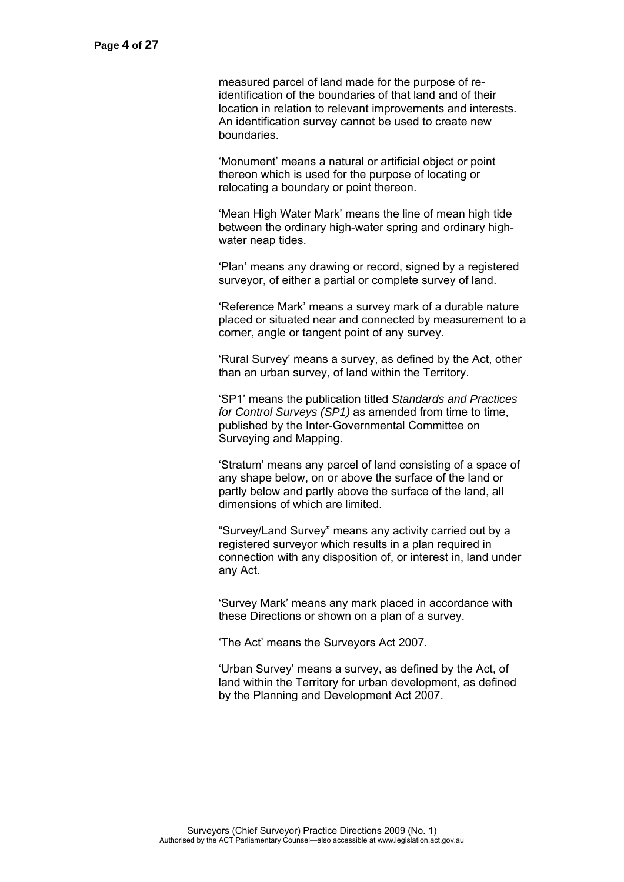measured parcel of land made for the purpose of reidentification of the boundaries of that land and of their location in relation to relevant improvements and interests. An identification survey cannot be used to create new boundaries.

 'Monument' means a natural or artificial object or point thereon which is used for the purpose of locating or relocating a boundary or point thereon.

 'Mean High Water Mark' means the line of mean high tide between the ordinary high-water spring and ordinary highwater neap tides.

 'Plan' means any drawing or record, signed by a registered surveyor, of either a partial or complete survey of land.

 'Reference Mark' means a survey mark of a durable nature placed or situated near and connected by measurement to a corner, angle or tangent point of any survey.

 'Rural Survey' means a survey, as defined by the Act, other than an urban survey, of land within the Territory.

 'SP1' means the publication titled *Standards and Practices for Control Surveys (SP1)* as amended from time to time, published by the Inter-Governmental Committee on Surveying and Mapping.

 'Stratum' means any parcel of land consisting of a space of any shape below, on or above the surface of the land or partly below and partly above the surface of the land, all dimensions of which are limited.

 "Survey/Land Survey" means any activity carried out by a registered surveyor which results in a plan required in connection with any disposition of, or interest in, land under any Act.

 'Survey Mark' means any mark placed in accordance with these Directions or shown on a plan of a survey.

'The Act' means the Surveyors Act 2007.

 'Urban Survey' means a survey, as defined by the Act, of land within the Territory for urban development, as defined by the Planning and Development Act 2007.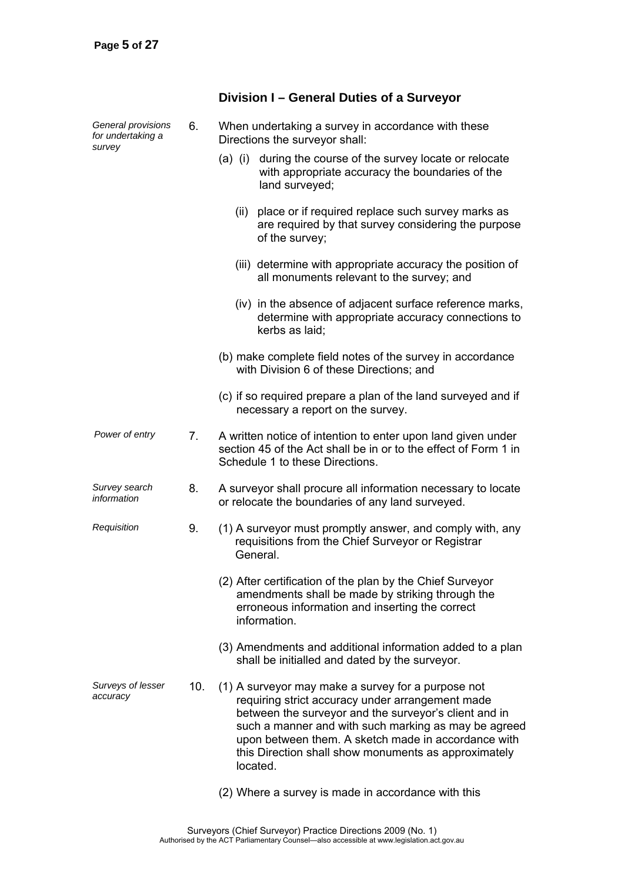### *General provisions for undertaking a survey*  6. When undertaking a survey in accordance with these Directions the surveyor shall: (a) (i) during the course of the survey locate or relocate with appropriate accuracy the boundaries of the land surveyed; (ii) place or if required replace such survey marks as are required by that survey considering the purpose of the survey; (iii) determine with appropriate accuracy the position of all monuments relevant to the survey; and (iv) in the absence of adjacent surface reference marks, determine with appropriate accuracy connections to kerbs as laid; (b) make complete field notes of the survey in accordance with Division 6 of these Directions; and (c) if so required prepare a plan of the land surveyed and if necessary a report on the survey. *Power of entry* 7. A written notice of intention to enter upon land given under section 45 of the Act shall be in or to the effect of Form 1 in Schedule 1 to these Directions. *Survey search information*  8. A surveyor shall procure all information necessary to locate or relocate the boundaries of any land surveyed. *Requisition* 9. (1) A surveyor must promptly answer, and comply with, any requisitions from the Chief Surveyor or Registrar General. (2) After certification of the plan by the Chief Surveyor amendments shall be made by striking through the erroneous information and inserting the correct information. (3) Amendments and additional information added to a plan shall be initialled and dated by the surveyor. *Surveys of lesser accuracy*  10. (1) A surveyor may make a survey for a purpose not requiring strict accuracy under arrangement made between the surveyor and the surveyor's client and in such a manner and with such marking as may be agreed upon between them. A sketch made in accordance with this Direction shall show monuments as approximately located. (2) Where a survey is made in accordance with this

**Division I – General Duties of a Surveyor**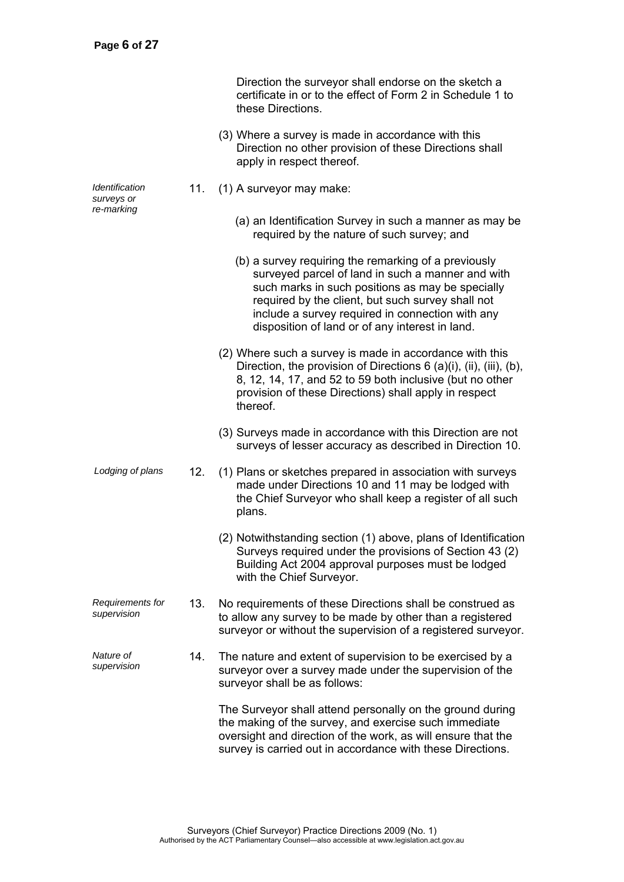|                                                   |     | Direction the surveyor shall endorse on the sketch a<br>certificate in or to the effect of Form 2 in Schedule 1 to<br>these Directions.                                                                                                                                                                                   |
|---------------------------------------------------|-----|---------------------------------------------------------------------------------------------------------------------------------------------------------------------------------------------------------------------------------------------------------------------------------------------------------------------------|
|                                                   |     | (3) Where a survey is made in accordance with this<br>Direction no other provision of these Directions shall<br>apply in respect thereof.                                                                                                                                                                                 |
| <i><u><b>Identification</b></u></i><br>surveys or | 11. | (1) A surveyor may make:                                                                                                                                                                                                                                                                                                  |
| re-marking                                        |     | (a) an Identification Survey in such a manner as may be<br>required by the nature of such survey; and                                                                                                                                                                                                                     |
|                                                   |     | (b) a survey requiring the remarking of a previously<br>surveyed parcel of land in such a manner and with<br>such marks in such positions as may be specially<br>required by the client, but such survey shall not<br>include a survey required in connection with any<br>disposition of land or of any interest in land. |
|                                                   |     | (2) Where such a survey is made in accordance with this<br>Direction, the provision of Directions $6$ (a)(i), (ii), (iii), (b),<br>8, 12, 14, 17, and 52 to 59 both inclusive (but no other<br>provision of these Directions) shall apply in respect<br>thereof.                                                          |
|                                                   |     | (3) Surveys made in accordance with this Direction are not<br>surveys of lesser accuracy as described in Direction 10.                                                                                                                                                                                                    |
| Lodging of plans                                  | 12. | (1) Plans or sketches prepared in association with surveys<br>made under Directions 10 and 11 may be lodged with<br>the Chief Surveyor who shall keep a register of all such<br>plans.                                                                                                                                    |
|                                                   |     | (2) Notwithstanding section (1) above, plans of Identification<br>Surveys required under the provisions of Section 43 (2)<br>Building Act 2004 approval purposes must be lodged<br>with the Chief Surveyor.                                                                                                               |
| Requirements for<br>supervision                   | 13. | No requirements of these Directions shall be construed as<br>to allow any survey to be made by other than a registered<br>surveyor or without the supervision of a registered surveyor.                                                                                                                                   |
| Nature of<br>supervision                          | 14. | The nature and extent of supervision to be exercised by a<br>surveyor over a survey made under the supervision of the<br>surveyor shall be as follows:                                                                                                                                                                    |
|                                                   |     | The Surveyor shall attend personally on the ground during<br>the making of the survey, and exercise such immediate<br>oversight and direction of the work, as will ensure that the<br>survey is carried out in accordance with these Directions.                                                                          |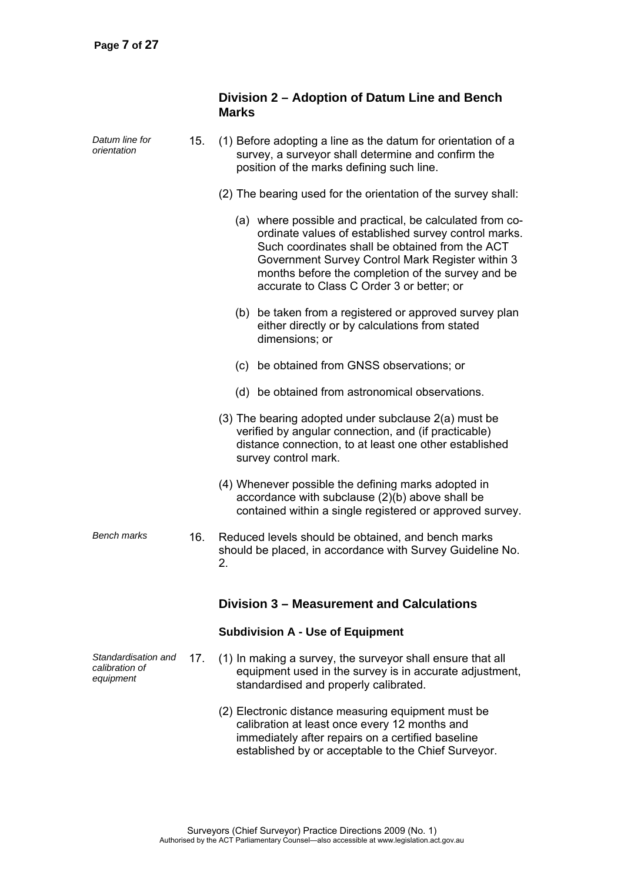|                                                    |     | Division 2 – Adoption of Datum Line and Bench<br><b>Marks</b>                                                                                                                                                                                                                                                             |
|----------------------------------------------------|-----|---------------------------------------------------------------------------------------------------------------------------------------------------------------------------------------------------------------------------------------------------------------------------------------------------------------------------|
| Datum line for<br>orientation                      | 15. | (1) Before adopting a line as the datum for orientation of a<br>survey, a surveyor shall determine and confirm the<br>position of the marks defining such line.                                                                                                                                                           |
|                                                    |     | (2) The bearing used for the orientation of the survey shall:                                                                                                                                                                                                                                                             |
|                                                    |     | (a) where possible and practical, be calculated from co-<br>ordinate values of established survey control marks.<br>Such coordinates shall be obtained from the ACT<br>Government Survey Control Mark Register within 3<br>months before the completion of the survey and be<br>accurate to Class C Order 3 or better; or |
|                                                    |     | (b) be taken from a registered or approved survey plan<br>either directly or by calculations from stated<br>dimensions; or                                                                                                                                                                                                |
|                                                    |     | (c) be obtained from GNSS observations; or                                                                                                                                                                                                                                                                                |
|                                                    |     | (d) be obtained from astronomical observations.                                                                                                                                                                                                                                                                           |
|                                                    |     | (3) The bearing adopted under subclause 2(a) must be<br>verified by angular connection, and (if practicable)<br>distance connection, to at least one other established<br>survey control mark.                                                                                                                            |
|                                                    |     | (4) Whenever possible the defining marks adopted in<br>accordance with subclause (2)(b) above shall be<br>contained within a single registered or approved survey.                                                                                                                                                        |
| <b>Bench marks</b>                                 | 16. | Reduced levels should be obtained, and bench marks<br>should be placed, in accordance with Survey Guideline No.<br>2.                                                                                                                                                                                                     |
|                                                    |     | Division 3 – Measurement and Calculations                                                                                                                                                                                                                                                                                 |
|                                                    |     | <b>Subdivision A - Use of Equipment</b>                                                                                                                                                                                                                                                                                   |
| Standardisation and<br>calibration of<br>equipment | 17. | (1) In making a survey, the surveyor shall ensure that all<br>equipment used in the survey is in accurate adjustment,<br>standardised and properly calibrated.                                                                                                                                                            |
|                                                    |     | (2) Electronic distance measuring equipment must be<br>calibration at least once every 12 months and<br>immediately after repairs on a certified baseline<br>established by or acceptable to the Chief Surveyor.                                                                                                          |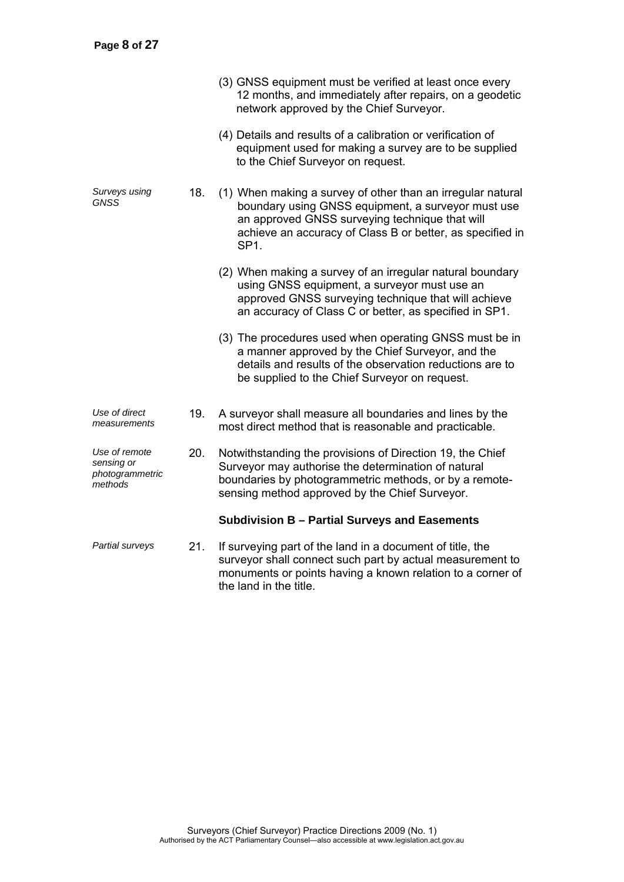|                                                           |     | (3) GNSS equipment must be verified at least once every<br>12 months, and immediately after repairs, on a geodetic<br>network approved by the Chief Surveyor.                                                                                        |
|-----------------------------------------------------------|-----|------------------------------------------------------------------------------------------------------------------------------------------------------------------------------------------------------------------------------------------------------|
|                                                           |     | (4) Details and results of a calibration or verification of<br>equipment used for making a survey are to be supplied<br>to the Chief Surveyor on request.                                                                                            |
| Surveys using<br>GNSS                                     | 18. | (1) When making a survey of other than an irregular natural<br>boundary using GNSS equipment, a surveyor must use<br>an approved GNSS surveying technique that will<br>achieve an accuracy of Class B or better, as specified in<br>SP <sub>1.</sub> |
|                                                           |     | (2) When making a survey of an irregular natural boundary<br>using GNSS equipment, a surveyor must use an<br>approved GNSS surveying technique that will achieve<br>an accuracy of Class C or better, as specified in SP1.                           |
|                                                           |     | (3) The procedures used when operating GNSS must be in<br>a manner approved by the Chief Surveyor, and the<br>details and results of the observation reductions are to<br>be supplied to the Chief Surveyor on request.                              |
| Use of direct<br>measurements                             | 19. | A surveyor shall measure all boundaries and lines by the<br>most direct method that is reasonable and practicable.                                                                                                                                   |
| Use of remote<br>sensing or<br>photogrammetric<br>methods | 20. | Notwithstanding the provisions of Direction 19, the Chief<br>Surveyor may authorise the determination of natural<br>boundaries by photogrammetric methods, or by a remote-<br>sensing method approved by the Chief Surveyor.                         |
|                                                           |     | Subdivision B - Partial Surveys and Easements                                                                                                                                                                                                        |
| Partial surveys                                           | 21. | If surveying part of the land in a document of title, the<br>surveyor shall connect such part by actual measurement to<br>monuments or points having a known relation to a corner of                                                                 |

the land in the title.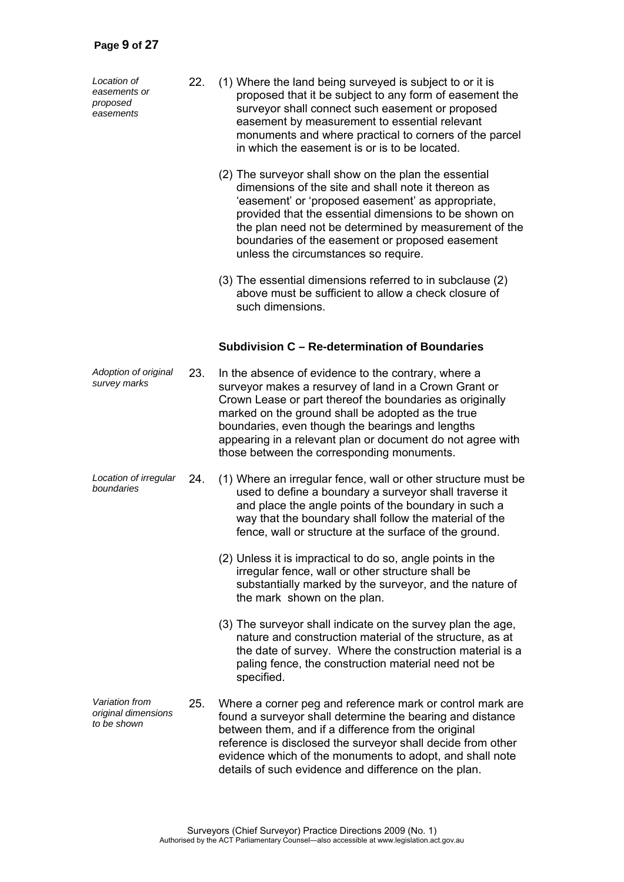*Location of easements or proposed easements* 

- 22. (1) Where the land being surveyed is subject to or it is proposed that it be subject to any form of easement the surveyor shall connect such easement or proposed easement by measurement to essential relevant monuments and where practical to corners of the parcel in which the easement is or is to be located.
	- (2) The surveyor shall show on the plan the essential dimensions of the site and shall note it thereon as 'easement' or 'proposed easement' as appropriate, provided that the essential dimensions to be shown on the plan need not be determined by measurement of the boundaries of the easement or proposed easement unless the circumstances so require.
	- (3) The essential dimensions referred to in subclause (2) above must be sufficient to allow a check closure of such dimensions.

#### **Subdivision C – Re-determination of Boundaries**

- *Adoption of original*  23. In the absence of evidence to the contrary, where a surveyor makes a resurvey of land in a Crown Grant or Crown Lease or part thereof the boundaries as originally marked on the ground shall be adopted as the true boundaries, even though the bearings and lengths appearing in a relevant plan or document do not agree with those between the corresponding monuments.
- *Location of irregular boundaries* 24. (1) Where an irregular fence, wall or other structure must be used to define a boundary a surveyor shall traverse it and place the angle points of the boundary in such a way that the boundary shall follow the material of the fence, wall or structure at the surface of the ground.
	- (2) Unless it is impractical to do so, angle points in the irregular fence, wall or other structure shall be substantially marked by the surveyor, and the nature of the mark shown on the plan.
	- (3) The surveyor shall indicate on the survey plan the age, nature and construction material of the structure, as at the date of survey. Where the construction material is a paling fence, the construction material need not be specified.
- *Variation from original dimensions to be shown*  25. Where a corner peg and reference mark or control mark are found a surveyor shall determine the bearing and distance between them, and if a difference from the original reference is disclosed the surveyor shall decide from other evidence which of the monuments to adopt, and shall note details of such evidence and difference on the plan.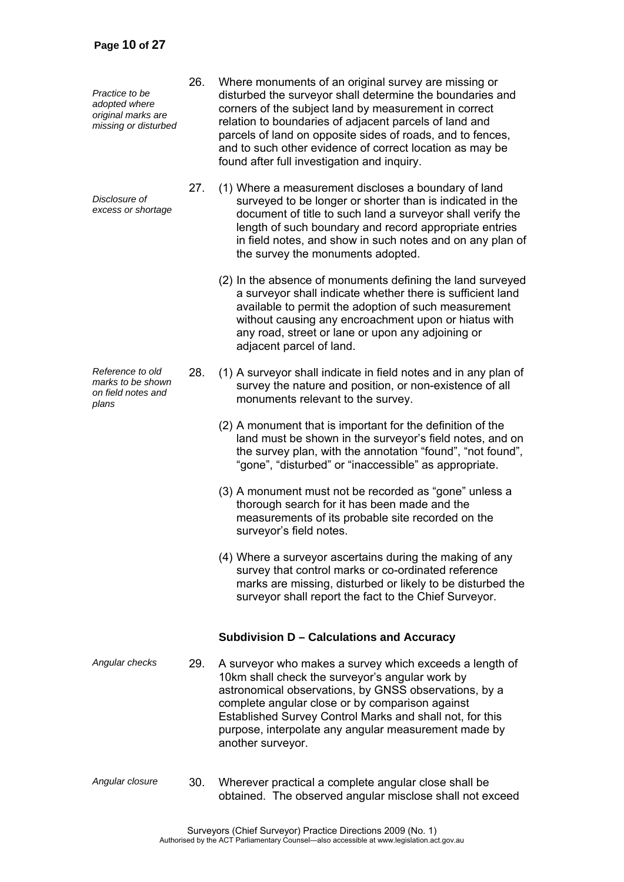*Practice to be adopted where original marks are missing or disturbed* 

*Disclosure of excess or shortage*

*Reference to old marks to be shown on field notes and plans* 

- 26. Where monuments of an original survey are missing or disturbed the surveyor shall determine the boundaries and corners of the subject land by measurement in correct relation to boundaries of adjacent parcels of land and parcels of land on opposite sides of roads, and to fences, and to such other evidence of correct location as may be found after full investigation and inquiry.
- 27. (1) Where a measurement discloses a boundary of land surveyed to be longer or shorter than is indicated in the document of title to such land a surveyor shall verify the length of such boundary and record appropriate entries in field notes, and show in such notes and on any plan of the survey the monuments adopted.
	- (2) In the absence of monuments defining the land surveyed a surveyor shall indicate whether there is sufficient land available to permit the adoption of such measurement without causing any encroachment upon or hiatus with any road, street or lane or upon any adjoining or adjacent parcel of land.
- 28. (1) A surveyor shall indicate in field notes and in any plan of survey the nature and position, or non-existence of all monuments relevant to the survey.
	- (2) A monument that is important for the definition of the land must be shown in the surveyor's field notes, and on the survey plan, with the annotation "found", "not found", "gone", "disturbed" or "inaccessible" as appropriate.
	- (3) A monument must not be recorded as "gone" unless a thorough search for it has been made and the measurements of its probable site recorded on the surveyor's field notes.
	- (4) Where a surveyor ascertains during the making of any survey that control marks or co-ordinated reference marks are missing, disturbed or likely to be disturbed the surveyor shall report the fact to the Chief Surveyor.

### **Subdivision D – Calculations and Accuracy**

- *Angular checks* 29. A surveyor who makes a survey which exceeds a length of 10km shall check the surveyor's angular work by astronomical observations, by GNSS observations, by a complete angular close or by comparison against Established Survey Control Marks and shall not, for this purpose, interpolate any angular measurement made by another surveyor.
- *Angular closure* 30. Wherever practical a complete angular close shall be obtained. The observed angular misclose shall not exceed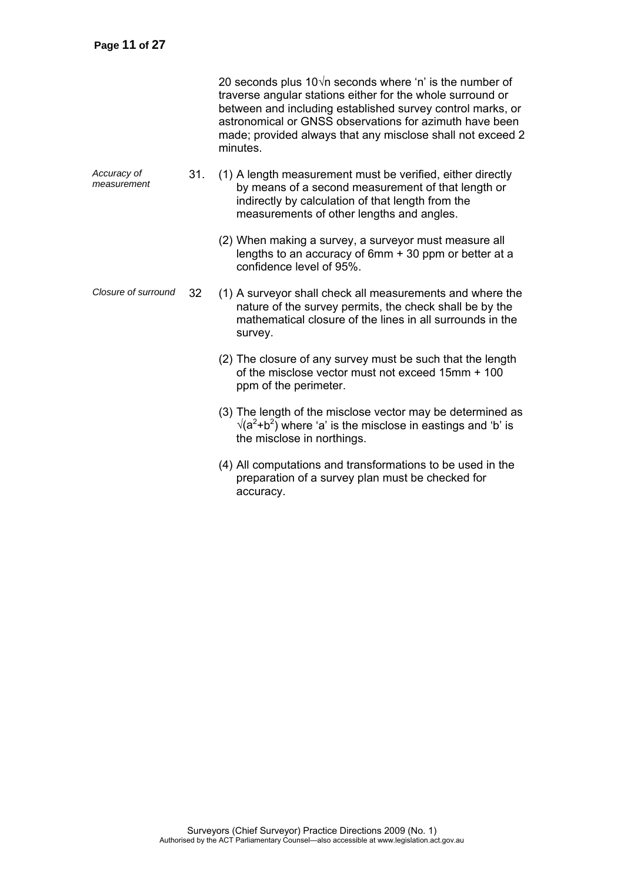|                            |     | 20 seconds plus $10\sqrt{n}$ seconds where 'n' is the number of<br>traverse angular stations either for the whole surround or<br>between and including established survey control marks, or<br>astronomical or GNSS observations for azimuth have been<br>made; provided always that any misclose shall not exceed 2<br>minutes. |
|----------------------------|-----|----------------------------------------------------------------------------------------------------------------------------------------------------------------------------------------------------------------------------------------------------------------------------------------------------------------------------------|
| Accuracy of<br>measurement | 31. | (1) A length measurement must be verified, either directly<br>by means of a second measurement of that length or<br>indirectly by calculation of that length from the<br>measurements of other lengths and angles.                                                                                                               |
|                            |     | (2) When making a survey, a surveyor must measure all<br>lengths to an accuracy of 6mm + 30 ppm or better at a<br>confidence level of 95%.                                                                                                                                                                                       |
| Closure of surround        | 32  | (1) A surveyor shall check all measurements and where the<br>nature of the survey permits, the check shall be by the<br>mathematical closure of the lines in all surrounds in the<br>survey.                                                                                                                                     |
|                            |     | (2) The closure of any survey must be such that the length<br>of the misclose vector must not exceed 15mm + 100<br>ppm of the perimeter.                                                                                                                                                                                         |
|                            |     | (3) The length of the misclose vector may be determined as<br>$\sqrt{(a^2+b^2)}$ where 'a' is the misclose in eastings and 'b' is<br>the misclose in northings.                                                                                                                                                                  |
|                            |     | (4) All computations and transformations to be used in the<br>preparation of a survey plan must be checked for<br>accuracy.                                                                                                                                                                                                      |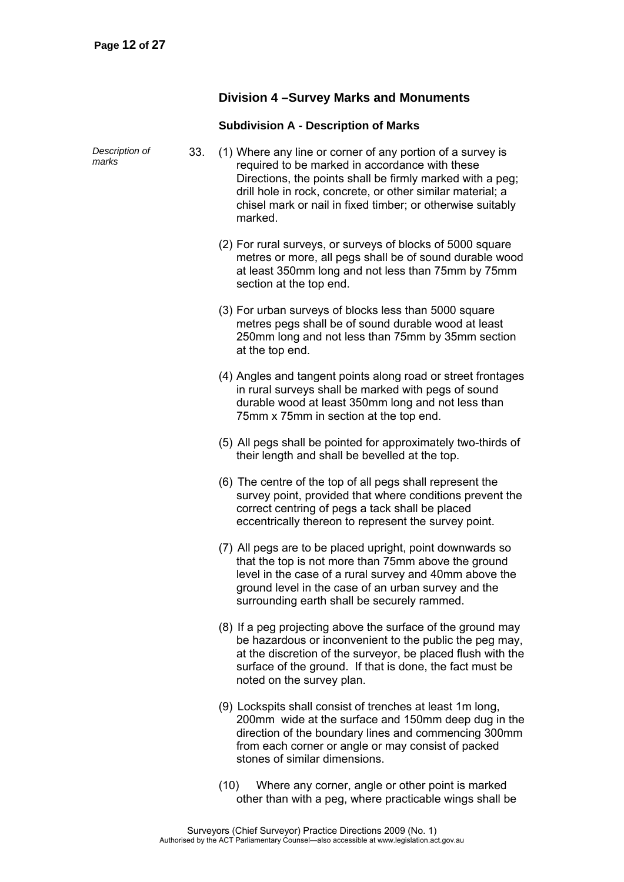### **Division 4 –Survey Marks and Monuments**

### **Subdivision A - Description of Marks**

| Description of<br>marks | 33. | (1) Where any line or corner of any portion of a survey is<br>required to be marked in accordance with these<br>Directions, the points shall be firmly marked with a peg;<br>drill hole in rock, concrete, or other similar material; a<br>chisel mark or nail in fixed timber; or otherwise suitably<br>marked. |
|-------------------------|-----|------------------------------------------------------------------------------------------------------------------------------------------------------------------------------------------------------------------------------------------------------------------------------------------------------------------|
|                         |     | (2) For rural surveys, or surveys of blocks of 5000 square<br>metres or more, all pegs shall be of sound durable wood<br>at least 350mm long and not less than 75mm by 75mm<br>section at the top end.                                                                                                           |
|                         |     | (3) For urban surveys of blocks less than 5000 square<br>metres pegs shall be of sound durable wood at least<br>250mm long and not less than 75mm by 35mm section<br>at the top end.                                                                                                                             |
|                         |     | (4) Angles and tangent points along road or street frontages<br>in rural surveys shall be marked with pegs of sound<br>durable wood at least 350mm long and not less than<br>75mm x 75mm in section at the top end.                                                                                              |
|                         |     | (5) All pegs shall be pointed for approximately two-thirds of<br>their length and shall be bevelled at the top.                                                                                                                                                                                                  |
|                         |     | (6) The centre of the top of all pegs shall represent the<br>survey point, provided that where conditions prevent the<br>correct centring of pegs a tack shall be placed<br>eccentrically thereon to represent the survey point.                                                                                 |
|                         |     | (7) All pegs are to be placed upright, point downwards so<br>that the top is not more than 75mm above the ground<br>level in the case of a rural survey and 40mm above the<br>ground level in the case of an urban survey and the<br>surrounding earth shall be securely rammed.                                 |
|                         |     | (8) If a peg projecting above the surface of the ground may<br>be hazardous or inconvenient to the public the peg may,<br>at the discretion of the surveyor, be placed flush with the<br>surface of the ground. If that is done, the fact must be<br>noted on the survey plan.                                   |
|                         |     | (9) Lockspits shall consist of trenches at least 1m long,<br>200mm wide at the surface and 150mm deep dug in the<br>direction of the boundary lines and commencing 300mm<br>from each corner or angle or may consist of packed<br>stones of similar dimensions.                                                  |
|                         |     |                                                                                                                                                                                                                                                                                                                  |

 (10) Where any corner, angle or other point is marked other than with a peg, where practicable wings shall be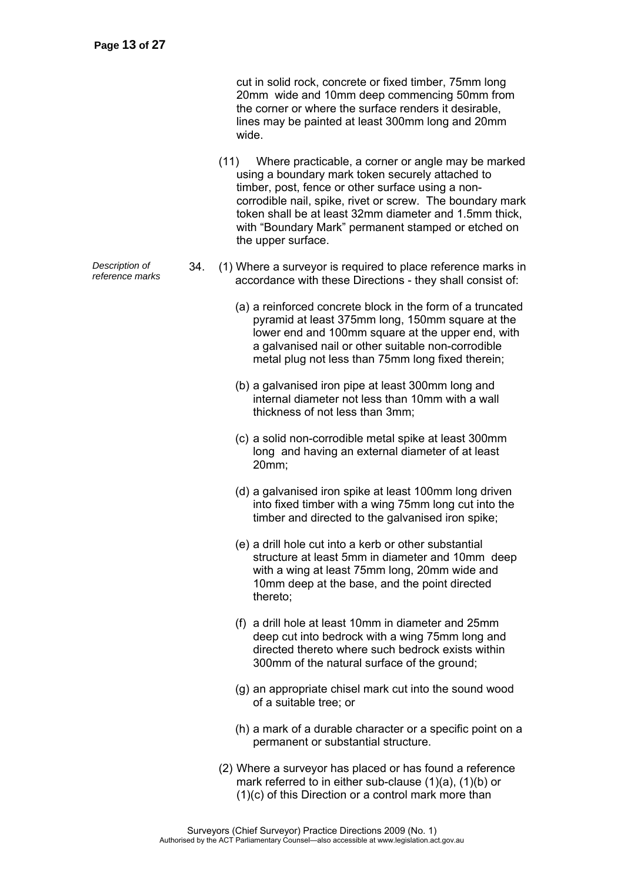cut in solid rock, concrete or fixed timber, 75mm long 20mm wide and 10mm deep commencing 50mm from the corner or where the surface renders it desirable, lines may be painted at least 300mm long and 20mm wide.

- (11) Where practicable, a corner or angle may be marked using a boundary mark token securely attached to timber, post, fence or other surface using a noncorrodible nail, spike, rivet or screw. The boundary mark token shall be at least 32mm diameter and 1.5mm thick, with "Boundary Mark" permanent stamped or etched on the upper surface.
- *Pescription of* 34. (1) Where a surveyor is required to place reference marks in reference marks in 2000 2000 2000 with these Directions they chall consist of accordance with these Directions - they shall consist of:
	- (a) a reinforced concrete block in the form of a truncated pyramid at least 375mm long, 150mm square at the lower end and 100mm square at the upper end, with a galvanised nail or other suitable non-corrodible metal plug not less than 75mm long fixed therein;
	- (b) a galvanised iron pipe at least 300mm long and internal diameter not less than 10mm with a wall thickness of not less than 3mm;
	- (c) a solid non-corrodible metal spike at least 300mm long and having an external diameter of at least 20mm;
	- (d) a galvanised iron spike at least 100mm long driven into fixed timber with a wing 75mm long cut into the timber and directed to the galvanised iron spike;
	- (e) a drill hole cut into a kerb or other substantial structure at least 5mm in diameter and 10mm deep with a wing at least 75mm long, 20mm wide and 10mm deep at the base, and the point directed thereto;
	- (f) a drill hole at least 10mm in diameter and 25mm deep cut into bedrock with a wing 75mm long and directed thereto where such bedrock exists within 300mm of the natural surface of the ground;
	- (g) an appropriate chisel mark cut into the sound wood of a suitable tree; or
	- (h) a mark of a durable character or a specific point on a permanent or substantial structure.
	- (2) Where a surveyor has placed or has found a reference mark referred to in either sub-clause (1)(a), (1)(b) or (1)(c) of this Direction or a control mark more than

*Description of*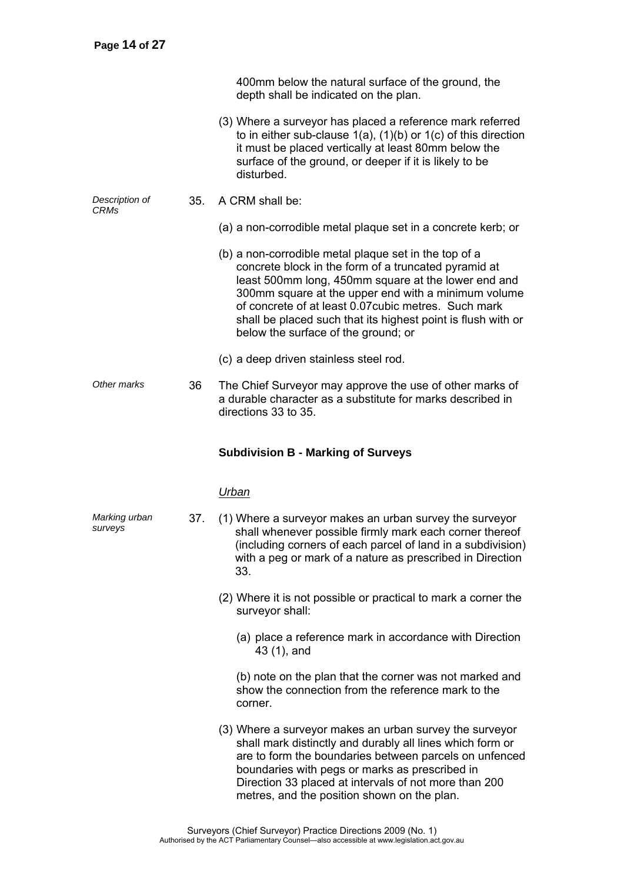| 400mm below the natural surface of the ground, the |  |
|----------------------------------------------------|--|
| depth shall be indicated on the plan.              |  |

- (3) Where a surveyor has placed a reference mark referred to in either sub-clause 1(a), (1)(b) or 1(c) of this direction it must be placed vertically at least 80mm below the surface of the ground, or deeper if it is likely to be disturbed.
- *Description of CRMs*  35. A CRM shall be:
	- (a) a non-corrodible metal plaque set in a concrete kerb; or
	- (b) a non-corrodible metal plaque set in the top of a concrete block in the form of a truncated pyramid at least 500mm long, 450mm square at the lower end and 300mm square at the upper end with a minimum volume of concrete of at least 0.07cubic metres. Such mark shall be placed such that its highest point is flush with or below the surface of the ground; or
	- (c) a deep driven stainless steel rod.
- *Other marks* 36 The Chief Surveyor may approve the use of other marks of a durable character as a substitute for marks described in directions 33 to 35.

#### **Subdivision B - Marking of Surveys**

#### *Urban*

- *Marking urban surveys*  37. (1) Where a surveyor makes an urban survey the surveyor shall whenever possible firmly mark each corner thereof (including corners of each parcel of land in a subdivision) with a peg or mark of a nature as prescribed in Direction 33.
	- (2) Where it is not possible or practical to mark a corner the surveyor shall:
		- (a) place a reference mark in accordance with Direction 43 (1), and

(b) note on the plan that the corner was not marked and show the connection from the reference mark to the corner.

 (3) Where a surveyor makes an urban survey the surveyor shall mark distinctly and durably all lines which form or are to form the boundaries between parcels on unfenced boundaries with pegs or marks as prescribed in Direction 33 placed at intervals of not more than 200 metres, and the position shown on the plan.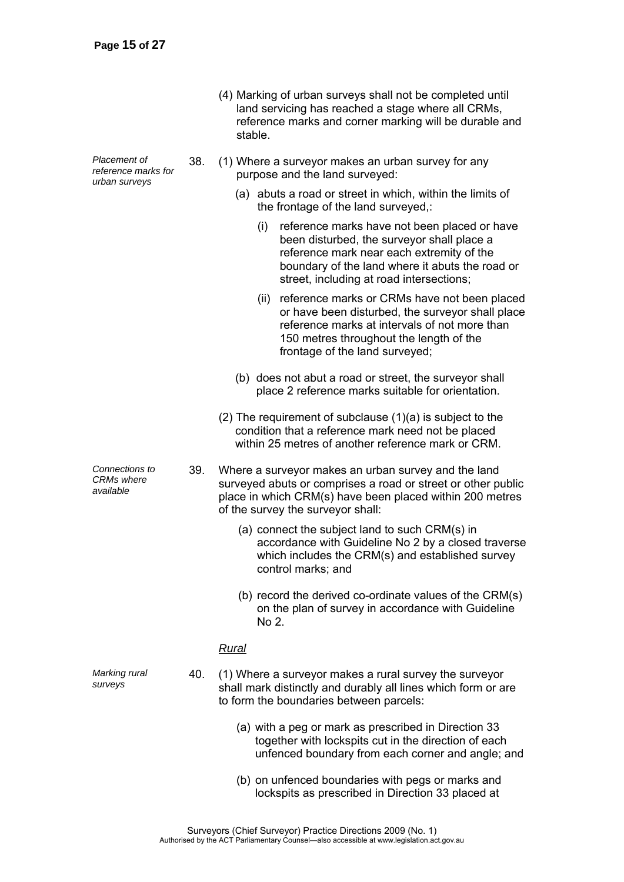| (4) Marking of urban surveys shall not be completed until         |
|-------------------------------------------------------------------|
| land servicing has reached a stage where all CRMs,                |
| reference marks and corner marking will be durable and<br>stable. |
|                                                                   |

- 38. (1) Where a surveyor makes an urban survey for any purpose and the land surveyed:
	- (a) abuts a road or street in which, within the limits of the frontage of the land surveyed,:
		- (i) reference marks have not been placed or have been disturbed, the surveyor shall place a reference mark near each extremity of the boundary of the land where it abuts the road or street, including at road intersections;
		- (ii) reference marks or CRMs have not been placed or have been disturbed, the surveyor shall place reference marks at intervals of not more than 150 metres throughout the length of the frontage of the land surveyed;
	- (b) does not abut a road or street, the surveyor shall place 2 reference marks suitable for orientation.
	- (2) The requirement of subclause (1)(a) is subject to the condition that a reference mark need not be placed within 25 metres of another reference mark or CRM
- 39. Where a surveyor makes an urban survey and the land surveyed abuts or comprises a road or street or other public place in which CRM(s) have been placed within 200 metres of the survey the surveyor shall:
	- (a) connect the subject land to such CRM(s) in accordance with Guideline No 2 by a closed traverse which includes the CRM(s) and established survey control marks; and
	- (b) record the derived co-ordinate values of the CRM(s) on the plan of survey in accordance with Guideline No 2.

#### *Rural*

- 40. (1) Where a surveyor makes a rural survey the surveyor shall mark distinctly and durably all lines which form or are to form the boundaries between parcels:
	- (a) with a peg or mark as prescribed in Direction 33 together with lockspits cut in the direction of each unfenced boundary from each corner and angle; and
	- (b) on unfenced boundaries with pegs or marks and lockspits as prescribed in Direction 33 placed at

*Placement of reference marks for urban surveys* 

*Connections to CRMs where available* 

*Marking rural surveys* 

> Surveyors (Chief Surveyor) Practice Directions 2009 (No. 1) Authorised by the ACT Parliamentary Counsel—also accessible at www.legislation.act.gov.au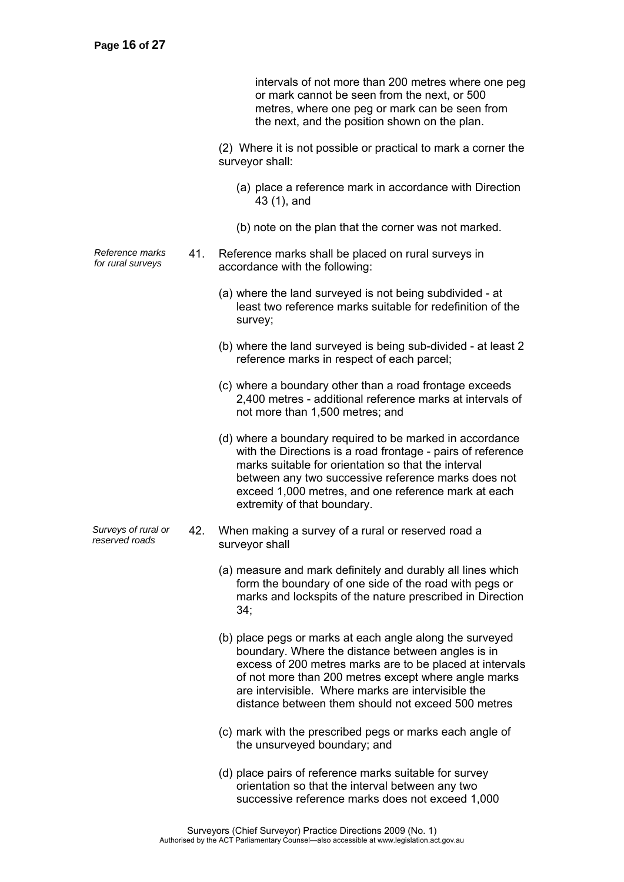intervals of not more than 200 metres where one peg or mark cannot be seen from the next, or 500 metres, where one peg or mark can be seen from the next, and the position shown on the plan.

 (2) Where it is not possible or practical to mark a corner the surveyor shall:

- (a) place a reference mark in accordance with Direction 43 (1), and
- (b) note on the plan that the corner was not marked.
- *Reference marks for rural surveys* 41. Reference marks shall be placed on rural surveys in accordance with the following:
	- (a) where the land surveyed is not being subdivided at least two reference marks suitable for redefinition of the survey;
	- (b) where the land surveyed is being sub-divided at least 2 reference marks in respect of each parcel;
	- (c) where a boundary other than a road frontage exceeds 2,400 metres - additional reference marks at intervals of not more than 1,500 metres; and
	- (d) where a boundary required to be marked in accordance with the Directions is a road frontage - pairs of reference marks suitable for orientation so that the interval between any two successive reference marks does not exceed 1,000 metres, and one reference mark at each extremity of that boundary.
- *Surveys of rural or reserved roads* 42. When making a survey of a rural or reserved road a surveyor shall
	- (a) measure and mark definitely and durably all lines which form the boundary of one side of the road with pegs or marks and lockspits of the nature prescribed in Direction 34;
	- (b) place pegs or marks at each angle along the surveyed boundary. Where the distance between angles is in excess of 200 metres marks are to be placed at intervals of not more than 200 metres except where angle marks are intervisible. Where marks are intervisible the distance between them should not exceed 500 metres
	- (c) mark with the prescribed pegs or marks each angle of the unsurveyed boundary; and
	- (d) place pairs of reference marks suitable for survey orientation so that the interval between any two successive reference marks does not exceed 1,000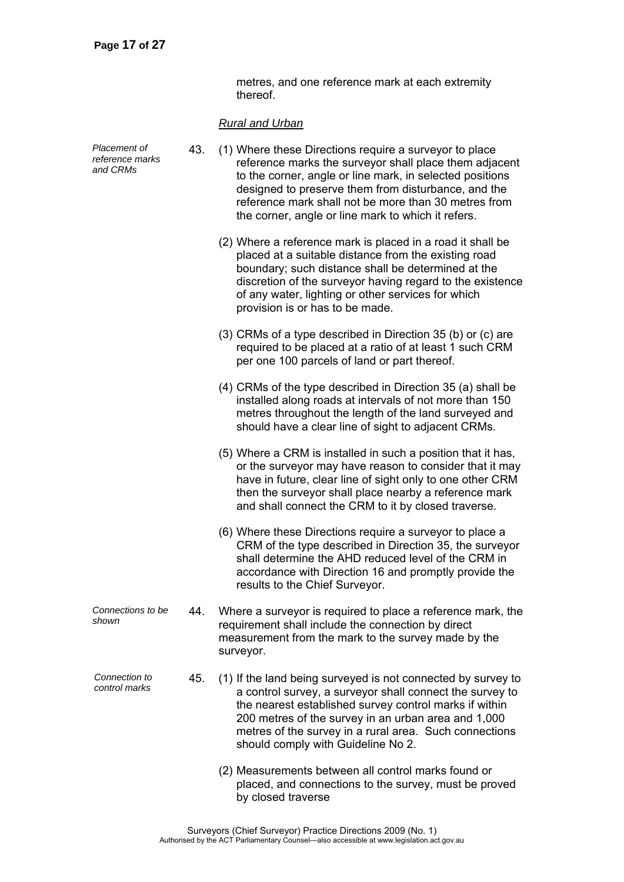metres, and one reference mark at each extremity thereof.

### *Rural and Urban*

| Placement of<br>reference marks<br>and CRMs | 43. | (1) Where these Directions require a surveyor to place<br>reference marks the surveyor shall place them adjacent<br>to the corner, angle or line mark, in selected positions<br>designed to preserve them from disturbance, and the<br>reference mark shall not be more than 30 metres from<br>the corner, angle or line mark to which it refers. |
|---------------------------------------------|-----|---------------------------------------------------------------------------------------------------------------------------------------------------------------------------------------------------------------------------------------------------------------------------------------------------------------------------------------------------|
|                                             |     | (2) Where a reference mark is placed in a road it shall be<br>placed at a suitable distance from the existing road<br>boundary; such distance shall be determined at the<br>discretion of the surveyor having regard to the existence<br>of any water, lighting or other services for which<br>provision is or has to be made.                    |
|                                             |     | (3) CRMs of a type described in Direction 35 (b) or (c) are<br>required to be placed at a ratio of at least 1 such CRM<br>per one 100 parcels of land or part thereof.                                                                                                                                                                            |
|                                             |     | (4) CRMs of the type described in Direction 35 (a) shall be<br>installed along roads at intervals of not more than 150<br>metres throughout the length of the land surveyed and<br>should have a clear line of sight to adjacent CRMs.                                                                                                            |
|                                             |     | (5) Where a CRM is installed in such a position that it has,<br>or the surveyor may have reason to consider that it may<br>have in future, clear line of sight only to one other CRM<br>then the surveyor shall place nearby a reference mark<br>and shall connect the CRM to it by closed traverse.                                              |
|                                             |     | (6) Where these Directions require a surveyor to place a<br>CRM of the type described in Direction 35, the surveyor<br>shall determine the AHD reduced level of the CRM in<br>accordance with Direction 16 and promptly provide the<br>results to the Chief Surveyor.                                                                             |
| Connections to be<br>shown                  | 44  | Where a surveyor is required to place a reference mark, the<br>requirement shall include the connection by direct<br>measurement from the mark to the survey made by the<br>surveyor.                                                                                                                                                             |
| Connection to<br>control marks              | 45. | (1) If the land being surveyed is not connected by survey to<br>a control survey, a surveyor shall connect the survey to<br>the nearest established survey control marks if within<br>200 metres of the survey in an urban area and 1,000<br>metres of the survey in a rural area. Such connections<br>should comply with Guideline No 2.         |
|                                             |     | (2) Measurements between all control marks found or<br>placed, and connections to the survey, must be proved<br>by closed traverse                                                                                                                                                                                                                |
|                                             |     |                                                                                                                                                                                                                                                                                                                                                   |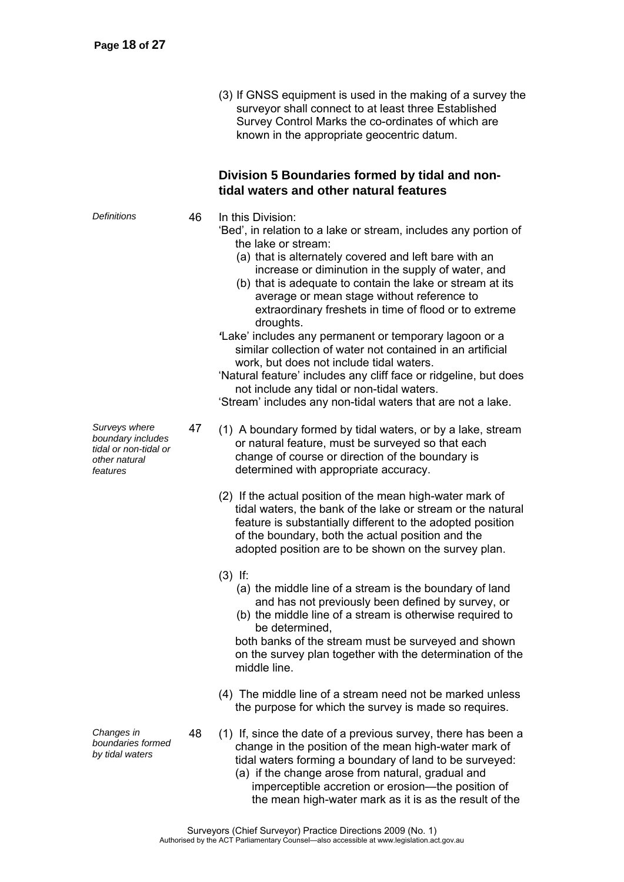(3) If GNSS equipment is used in the making of a survey the surveyor shall connect to at least three Established Survey Control Marks the co-ordinates of which are known in the appropriate geocentric datum.

### **Division 5 Boundaries formed by tidal and nontidal waters and other natural features**

*Definitions* 46 In this Division:

- 'Bed', in relation to a lake or stream, includes any portion of the lake or stream:
	- (a) that is alternately covered and left bare with an increase or diminution in the supply of water, and
	- (b) that is adequate to contain the lake or stream at its average or mean stage without reference to extraordinary freshets in time of flood or to extreme droughts.
- *'*Lake' includes any permanent or temporary lagoon or a similar collection of water not contained in an artificial work, but does not include tidal waters.

'Natural feature' includes any cliff face or ridgeline, but does not include any tidal or non-tidal waters.

'Stream' includes any non-tidal waters that are not a lake.

- 47 (1) A boundary formed by tidal waters, or by a lake, stream or natural feature, must be surveyed so that each change of course or direction of the boundary is determined with appropriate accuracy.
	- (2) If the actual position of the mean high-water mark of tidal waters, the bank of the lake or stream or the natural feature is substantially different to the adopted position of the boundary, both the actual position and the adopted position are to be shown on the survey plan.
	- (3) If:
		- (a) the middle line of a stream is the boundary of land and has not previously been defined by survey, or
		- (b) the middle line of a stream is otherwise required to be determined,

both banks of the stream must be surveyed and shown on the survey plan together with the determination of the middle line.

- (4) The middle line of a stream need not be marked unless the purpose for which the survey is made so requires.
- 48 (1) If, since the date of a previous survey, there has been a change in the position of the mean high-water mark of tidal waters forming a boundary of land to be surveyed:
	- (a) if the change arose from natural, gradual and imperceptible accretion or erosion—the position of the mean high-water mark as it is as the result of the

*Surveys where boundary includes tidal or non-tidal or other natural features* 

*Changes in boundaries formed by tidal waters*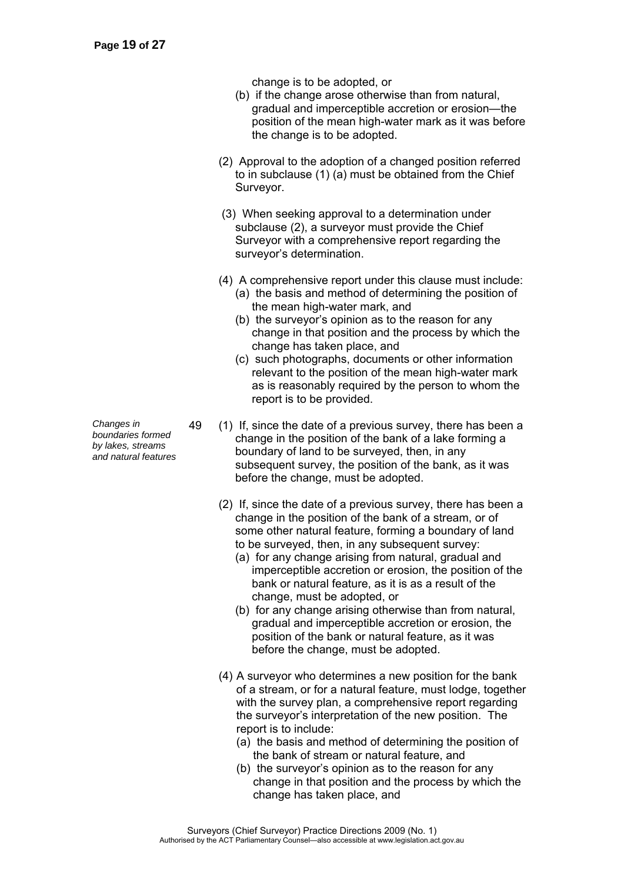change is to be adopted, or

- (b) if the change arose otherwise than from natural, gradual and imperceptible accretion or erosion—the position of the mean high-water mark as it was before the change is to be adopted.
- (2) Approval to the adoption of a changed position referred to in subclause (1) (a) must be obtained from the Chief Surveyor.
- (3) When seeking approval to a determination under subclause (2), a surveyor must provide the Chief Surveyor with a comprehensive report regarding the surveyor's determination.
- (4) A comprehensive report under this clause must include:
	- (a) the basis and method of determining the position of the mean high-water mark, and
	- (b) the surveyor's opinion as to the reason for any change in that position and the process by which the change has taken place, and
	- (c) such photographs, documents or other information relevant to the position of the mean high-water mark as is reasonably required by the person to whom the report is to be provided.
- 49 (1) If, since the date of a previous survey, there has been a change in the position of the bank of a lake forming a boundary of land to be surveyed, then, in any subsequent survey, the position of the bank, as it was before the change, must be adopted.
	- (2) If, since the date of a previous survey, there has been a change in the position of the bank of a stream, or of some other natural feature, forming a boundary of land to be surveyed, then, in any subsequent survey:
		- (a) for any change arising from natural, gradual and imperceptible accretion or erosion, the position of the bank or natural feature, as it is as a result of the change, must be adopted, or
		- (b) for any change arising otherwise than from natural, gradual and imperceptible accretion or erosion, the position of the bank or natural feature, as it was before the change, must be adopted.
	- (4) A surveyor who determines a new position for the bank of a stream, or for a natural feature, must lodge, together with the survey plan, a comprehensive report regarding the surveyor's interpretation of the new position. The report is to include:
		- (a) the basis and method of determining the position of the bank of stream or natural feature, and
		- (b) the surveyor's opinion as to the reason for any change in that position and the process by which the change has taken place, and

*Changes in boundaries formed by lakes, streams* 

*and natural features* 

Surveyors (Chief Surveyor) Practice Directions 2009 (No. 1) Authorised by the ACT Parliamentary Counsel—also accessible at www.legislation.act.gov.au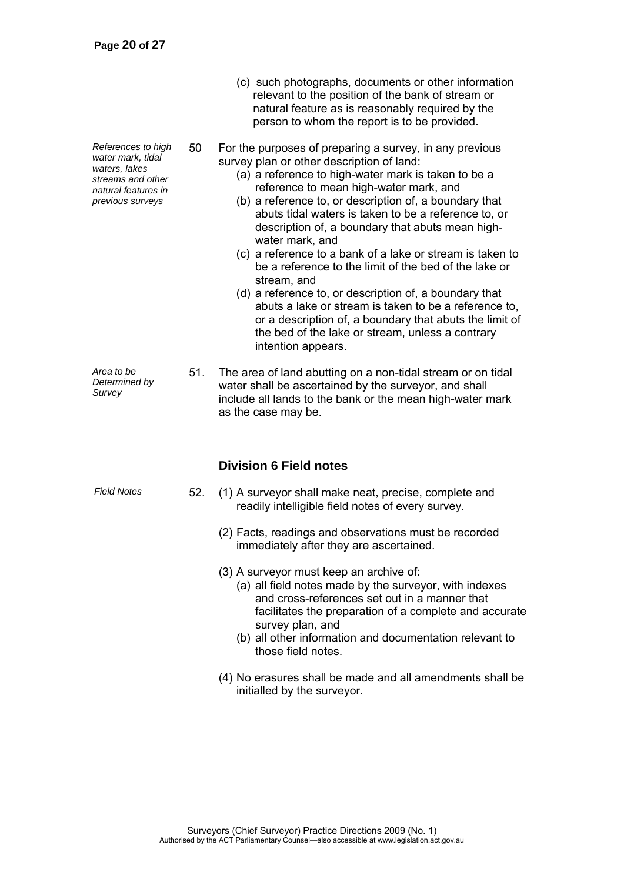*References to high water mark, tidal waters, lakes streams and other natural features in previous surveys* 

natural feature as is reasonably required by the person to whom the report is to be provided.

(c) such photographs, documents or other information relevant to the position of the bank of stream or

50 For the purposes of preparing a survey, in any previous survey plan or other description of land:

- (a) a reference to high-water mark is taken to be a reference to mean high-water mark, and
- (b) a reference to, or description of, a boundary that abuts tidal waters is taken to be a reference to, or description of, a boundary that abuts mean highwater mark, and
- (c) a reference to a bank of a lake or stream is taken to be a reference to the limit of the bed of the lake or stream, and
- (d) a reference to, or description of, a boundary that abuts a lake or stream is taken to be a reference to, or a description of, a boundary that abuts the limit of the bed of the lake or stream, unless a contrary intention appears.

*Area to be Determined by Survey*  51. The area of land abutting on a non-tidal stream or on tidal water shall be ascertained by the surveyor, and shall include all lands to the bank or the mean high-water mark as the case may be.

### **Division 6 Field notes**

- *Field Notes* 52. (1) A surveyor shall make neat, precise, complete and readily intelligible field notes of every survey.
	- (2) Facts, readings and observations must be recorded immediately after they are ascertained.
	- (3) A surveyor must keep an archive of:
		- (a) all field notes made by the surveyor, with indexes and cross-references set out in a manner that facilitates the preparation of a complete and accurate survey plan, and
		- (b) all other information and documentation relevant to those field notes.
	- (4) No erasures shall be made and all amendments shall be initialled by the surveyor.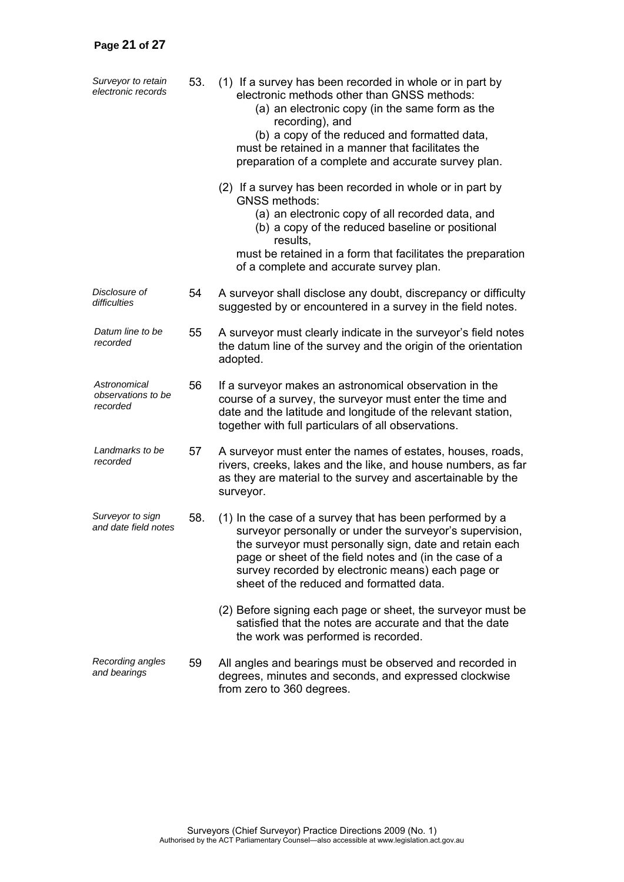| Surveyor to retain<br>electronic records       | 53. | (1) If a survey has been recorded in whole or in part by<br>electronic methods other than GNSS methods:<br>(a) an electronic copy (in the same form as the<br>recording), and<br>(b) a copy of the reduced and formatted data,<br>must be retained in a manner that facilitates the<br>preparation of a complete and accurate survey plan. |
|------------------------------------------------|-----|--------------------------------------------------------------------------------------------------------------------------------------------------------------------------------------------------------------------------------------------------------------------------------------------------------------------------------------------|
|                                                |     | (2) If a survey has been recorded in whole or in part by<br><b>GNSS methods:</b><br>(a) an electronic copy of all recorded data, and<br>(b) a copy of the reduced baseline or positional<br>results,<br>must be retained in a form that facilitates the preparation<br>of a complete and accurate survey plan.                             |
| Disclosure of<br>difficulties                  | 54  | A surveyor shall disclose any doubt, discrepancy or difficulty<br>suggested by or encountered in a survey in the field notes.                                                                                                                                                                                                              |
| Datum line to be<br>recorded                   | 55  | A surveyor must clearly indicate in the surveyor's field notes<br>the datum line of the survey and the origin of the orientation<br>adopted.                                                                                                                                                                                               |
| Astronomical<br>observations to be<br>recorded | 56  | If a surveyor makes an astronomical observation in the<br>course of a survey, the surveyor must enter the time and<br>date and the latitude and longitude of the relevant station,<br>together with full particulars of all observations.                                                                                                  |
| Landmarks to be<br>recorded                    | 57  | A surveyor must enter the names of estates, houses, roads,<br>rivers, creeks, lakes and the like, and house numbers, as far<br>as they are material to the survey and ascertainable by the<br>surveyor.                                                                                                                                    |
| Surveyor to sign<br>and date field notes       | 58. | (1) In the case of a survey that has been performed by a<br>surveyor personally or under the surveyor's supervision,<br>the surveyor must personally sign, date and retain each<br>page or sheet of the field notes and (in the case of a<br>survey recorded by electronic means) each page or<br>sheet of the reduced and formatted data. |
|                                                |     | (2) Before signing each page or sheet, the surveyor must be<br>satisfied that the notes are accurate and that the date<br>the work was performed is recorded.                                                                                                                                                                              |
| Recording angles<br>and bearings               | 59  | All angles and bearings must be observed and recorded in<br>degrees, minutes and seconds, and expressed clockwise<br>from zero to 360 degrees.                                                                                                                                                                                             |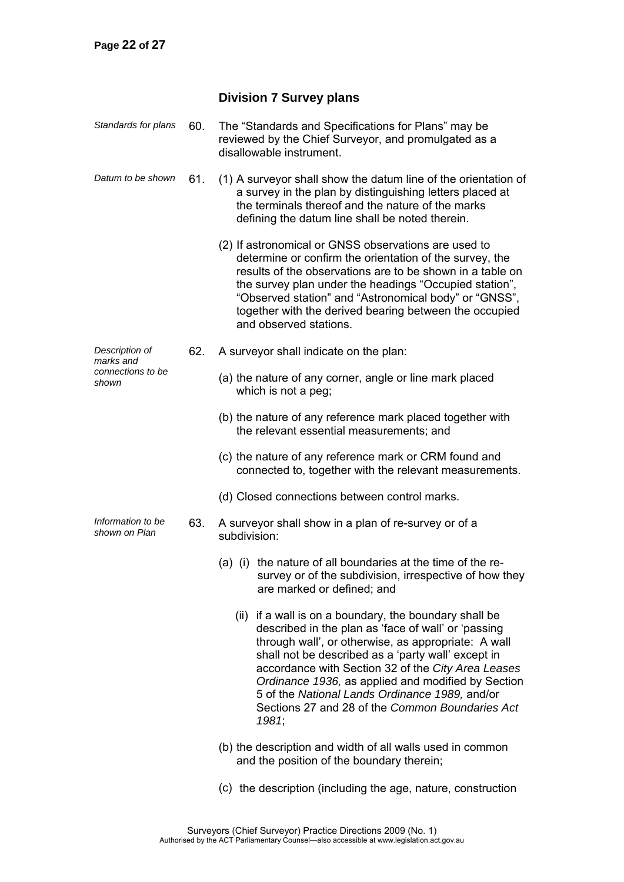### **Division 7 Survey plans**

| Standards for plans                | 60. | The "Standards and Specifications for Plans" may be<br>reviewed by the Chief Surveyor, and promulgated as a<br>disallowable instrument.                                                                                                                                                                                                                                                                                                              |
|------------------------------------|-----|------------------------------------------------------------------------------------------------------------------------------------------------------------------------------------------------------------------------------------------------------------------------------------------------------------------------------------------------------------------------------------------------------------------------------------------------------|
| Datum to be shown                  | 61. | (1) A surveyor shall show the datum line of the orientation of<br>a survey in the plan by distinguishing letters placed at<br>the terminals thereof and the nature of the marks<br>defining the datum line shall be noted therein.                                                                                                                                                                                                                   |
|                                    |     | (2) If astronomical or GNSS observations are used to<br>determine or confirm the orientation of the survey, the<br>results of the observations are to be shown in a table on<br>the survey plan under the headings "Occupied station",<br>"Observed station" and "Astronomical body" or "GNSS",<br>together with the derived bearing between the occupied<br>and observed stations.                                                                  |
| Description of<br>marks and        | 62. | A surveyor shall indicate on the plan:                                                                                                                                                                                                                                                                                                                                                                                                               |
| connections to be<br>shown         |     | (a) the nature of any corner, angle or line mark placed<br>which is not a peg;                                                                                                                                                                                                                                                                                                                                                                       |
|                                    |     | (b) the nature of any reference mark placed together with<br>the relevant essential measurements; and                                                                                                                                                                                                                                                                                                                                                |
|                                    |     | (c) the nature of any reference mark or CRM found and<br>connected to, together with the relevant measurements.                                                                                                                                                                                                                                                                                                                                      |
|                                    |     | (d) Closed connections between control marks.                                                                                                                                                                                                                                                                                                                                                                                                        |
| Information to be<br>shown on Plan | 63. | A surveyor shall show in a plan of re-survey or of a<br>subdivision:                                                                                                                                                                                                                                                                                                                                                                                 |
|                                    |     | the nature of all boundaries at the time of the re-<br>$(a)$ (i)<br>survey or of the subdivision, irrespective of how they<br>are marked or defined; and                                                                                                                                                                                                                                                                                             |
|                                    |     | (ii) if a wall is on a boundary, the boundary shall be<br>described in the plan as 'face of wall' or 'passing<br>through wall', or otherwise, as appropriate: A wall<br>shall not be described as a 'party wall' except in<br>accordance with Section 32 of the City Area Leases<br>Ordinance 1936, as applied and modified by Section<br>5 of the National Lands Ordinance 1989, and/or<br>Sections 27 and 28 of the Common Boundaries Act<br>1981; |
|                                    |     | (b) the description and width of all walls used in common<br>and the position of the boundary therein;                                                                                                                                                                                                                                                                                                                                               |

(c) the description (including the age, nature, construction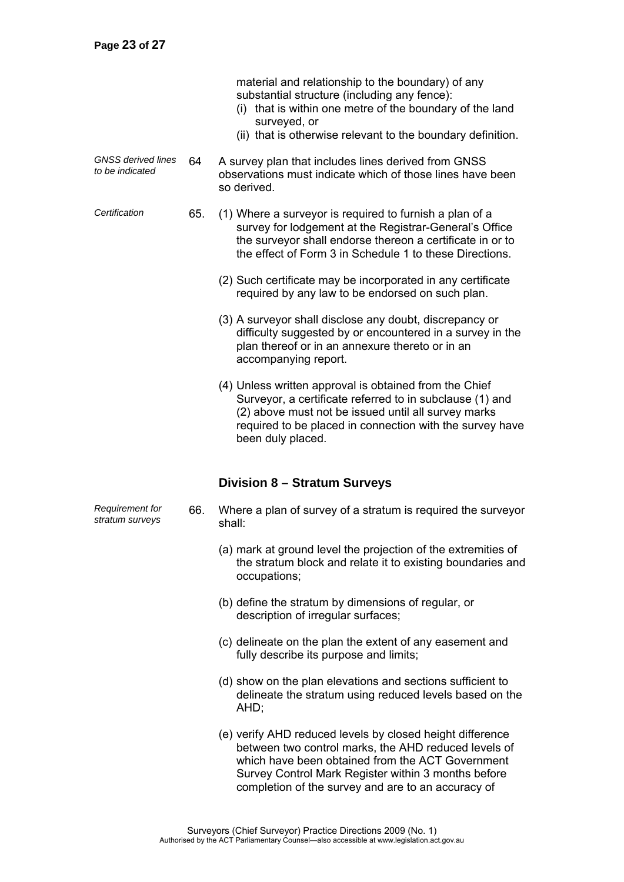*Requirement for stratum surveys* 

material and relationship to the boundary) of any substantial structure (including any fence):

- (i) that is within one metre of the boundary of the land surveyed, or
- (ii) that is otherwise relevant to the boundary definition.
- *GNSS derived lines to be indicated* 64 A survey plan that includes lines derived from GNSS observations must indicate which of those lines have been so derived.
- *Certification* 65. (1) Where a surveyor is required to furnish a plan of a survey for lodgement at the Registrar-General's Office the surveyor shall endorse thereon a certificate in or to the effect of Form 3 in Schedule 1 to these Directions.
	- (2) Such certificate may be incorporated in any certificate required by any law to be endorsed on such plan.
	- (3) A surveyor shall disclose any doubt, discrepancy or difficulty suggested by or encountered in a survey in the plan thereof or in an annexure thereto or in an accompanying report.
	- (4) Unless written approval is obtained from the Chief Surveyor, a certificate referred to in subclause (1) and (2) above must not be issued until all survey marks required to be placed in connection with the survey have been duly placed.

### **Division 8 – Stratum Surveys**

- 66. Where a plan of survey of a stratum is required the surveyor shall:
	- (a) mark at ground level the projection of the extremities of the stratum block and relate it to existing boundaries and occupations;
	- (b) define the stratum by dimensions of regular, or description of irregular surfaces;
	- (c) delineate on the plan the extent of any easement and fully describe its purpose and limits;
	- (d) show on the plan elevations and sections sufficient to delineate the stratum using reduced levels based on the AHD;
	- (e) verify AHD reduced levels by closed height difference between two control marks, the AHD reduced levels of which have been obtained from the ACT Government Survey Control Mark Register within 3 months before completion of the survey and are to an accuracy of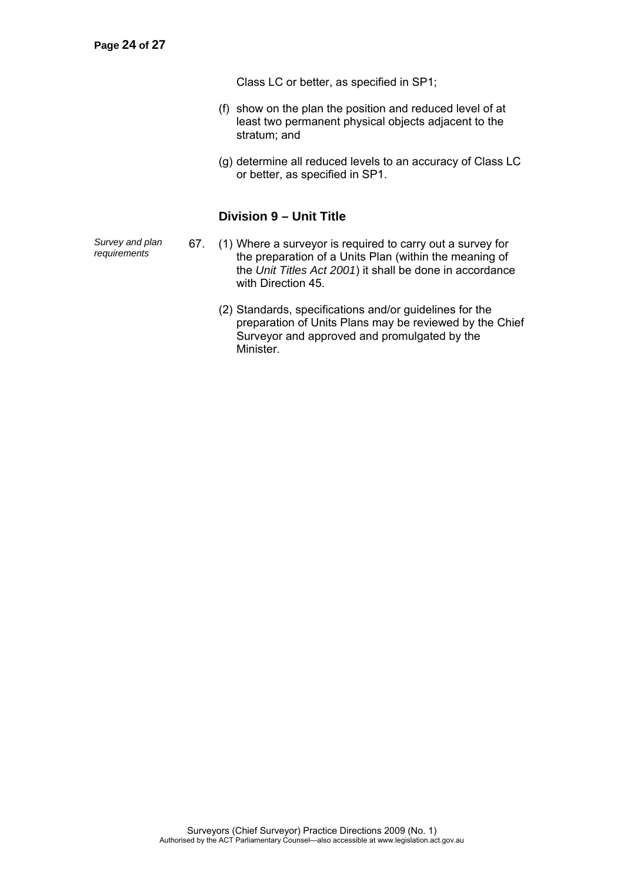Class LC or better, as specified in SP1;

- (f) show on the plan the position and reduced level of at least two permanent physical objects adjacent to the stratum; and
- (g) determine all reduced levels to an accuracy of Class LC or better, as specified in SP1.

### **Division 9 – Unit Title**

*Survey and plan* 

- 67. (1) Where a surveyor is required to carry out a survey for the preparation of a Units Plan (within the meaning of the *Unit Titles Act 2001*) it shall be done in accordance with Direction 45.
	- (2) Standards, specifications and/or guidelines for the preparation of Units Plans may be reviewed by the Chief Surveyor and approved and promulgated by the Minister.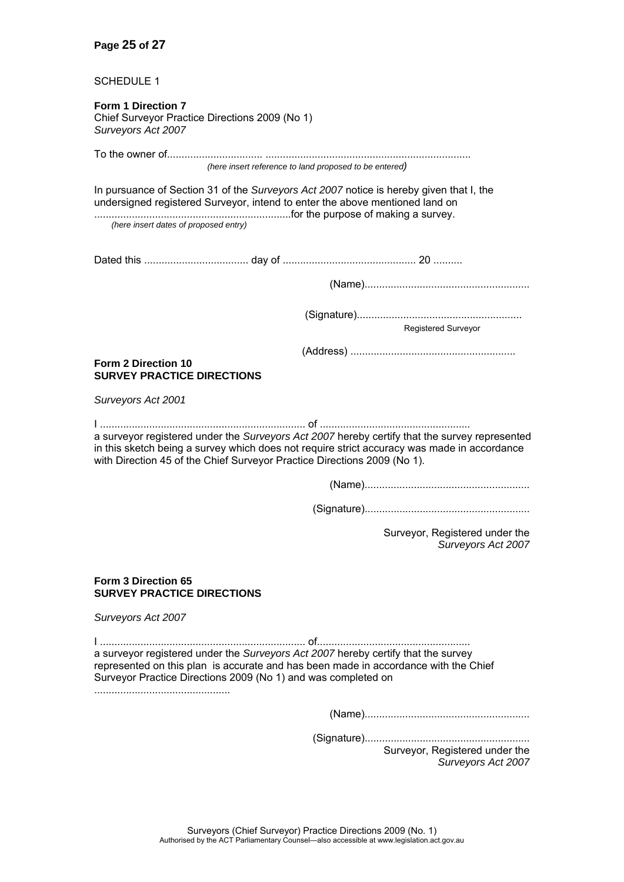#### **Page 25 of 27**

SCHEDULE 1

**Form 1 Direction 7**  Chief Surveyor Practice Directions 2009 (No 1) *Surveyors Act 2007* 

To the owner of................................. ....................................................................... *(here insert reference to land proposed to be entered)* 

In pursuance of Section 31 of the *Surveyors Act 2007* notice is hereby given that I, the undersigned registered Surveyor, intend to enter the above mentioned land on ....................................................................for the purpose of making a survey.

*(here insert dates of proposed entry)*

Dated this .................................... day of .............................................. 20 ..........

(Name).........................................................

(Signature).........................................................

Registered Surveyor

(Address) .........................................................

#### **Form 2 Direction 10 SURVEY PRACTICE DIRECTIONS**

*Surveyors Act 2001* 

I ....................................................................... of .................................................... a surveyor registered under the *Surveyors Act 2007* hereby certify that the survey represented in this sketch being a survey which does not require strict accuracy was made in accordance with Direction 45 of the Chief Surveyor Practice Directions 2009 (No 1).

(Name).........................................................

(Signature).........................................................

Surveyor, Registered under the *Surveyors Act 2007* 

#### **Form 3 Direction 65 SURVEY PRACTICE DIRECTIONS**

*Surveyors Act 2007* 

I ....................................................................... of..................................................... a surveyor registered under the *Surveyors Act 2007* hereby certify that the survey represented on this plan is accurate and has been made in accordance with the Chief Surveyor Practice Directions 2009 (No 1) and was completed on

...............................................

(Name).........................................................

(Signature).........................................................

Surveyor, Registered under the *Surveyors Act 2007*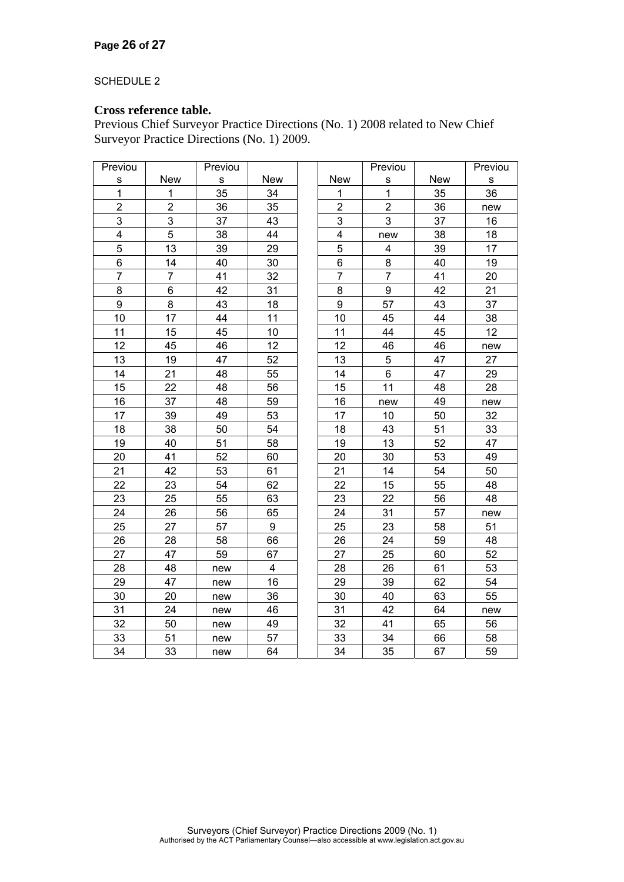#### SCHEDULE 2

### **Cross reference table.**

Previous Chief Surveyor Practice Directions (No. 1) 2008 related to New Chief Surveyor Practice Directions (No. 1) 2009.

| Previou        |                | Previou |                |                  | Previou                 |            | Previou   |
|----------------|----------------|---------|----------------|------------------|-------------------------|------------|-----------|
| $\mathbf s$    | <b>New</b>     | S       | <b>New</b>     | <b>New</b>       | S                       | <b>New</b> | ${\sf s}$ |
| $\mathbf{1}$   | 1              | 35      | 34             | 1                | $\mathbf{1}$            | 35         | 36        |
| $\overline{2}$ | $\overline{2}$ | 36      | 35             | $\overline{2}$   | $\overline{2}$          | 36         | new       |
| 3              | 3              | 37      | 43             | 3                | 3                       | 37         | 16        |
| 4              | 5              | 38      | 44             | 4                | new                     | 38         | 18        |
| 5              | 13             | 39      | 29             | 5                | $\overline{\mathbf{4}}$ | 39         | 17        |
| 6              | 14             | 40      | 30             | 6                | 8                       | 40         | 19        |
| $\overline{7}$ | $\overline{7}$ | 41      | 32             | $\overline{7}$   | 7                       | 41         | 20        |
| 8              | 6              | 42      | 31             | 8                | 9                       | 42         | 21        |
| 9              | 8              | 43      | 18             | $\boldsymbol{9}$ | 57                      | 43         | 37        |
| 10             | 17             | 44      | 11             | 10               | 45                      | 44         | 38        |
| 11             | 15             | 45      | 10             | 11               | 44                      | 45         | 12        |
| 12             | 45             | 46      | 12             | 12               | 46                      | 46         | new       |
| 13             | 19             | 47      | 52             | 13               | 5                       | 47         | 27        |
| 14             | 21             | 48      | 55             | 14               | $\,6$                   | 47         | 29        |
| 15             | 22             | 48      | 56             | 15               | 11                      | 48         | 28        |
| 16             | 37             | 48      | 59             | 16               | new                     | 49         | new       |
| 17             | 39             | 49      | 53             | 17               | 10                      | 50         | 32        |
| 18             | 38             | 50      | 54             | 18               | 43                      | 51         | 33        |
| 19             | 40             | 51      | 58             | 19               | 13                      | 52         | 47        |
| 20             | 41             | 52      | 60             | 20               | 30                      | 53         | 49        |
| 21             | 42             | 53      | 61             | 21               | 14                      | 54         | 50        |
| 22             | 23             | 54      | 62             | 22               | 15                      | 55         | 48        |
| 23             | 25             | 55      | 63             | 23               | 22                      | 56         | 48        |
| 24             | 26             | 56      | 65             | 24               | 31                      | 57         | new       |
| 25             | 27             | 57      | 9              | 25               | 23                      | 58         | 51        |
| 26             | 28             | 58      | 66             | 26               | 24                      | 59         | 48        |
| 27             | 47             | 59      | 67             | 27               | 25                      | 60         | 52        |
| 28             | 48             | new     | $\overline{4}$ | 28               | 26                      | 61         | 53        |
| 29             | 47             | new     | 16             | 29               | 39                      | 62         | 54        |
| 30             | 20             | new     | 36             | 30               | 40                      | 63         | 55        |
| 31             | 24             | new     | 46             | 31               | 42                      | 64         | new       |
| 32             | 50             | new     | 49             | 32               | 41                      | 65         | 56        |
| 33             | 51             | new     | 57             | 33               | 34                      | 66         | 58        |
| 34             | 33             | new     | 64             | 34               | 35                      | 67         | 59        |